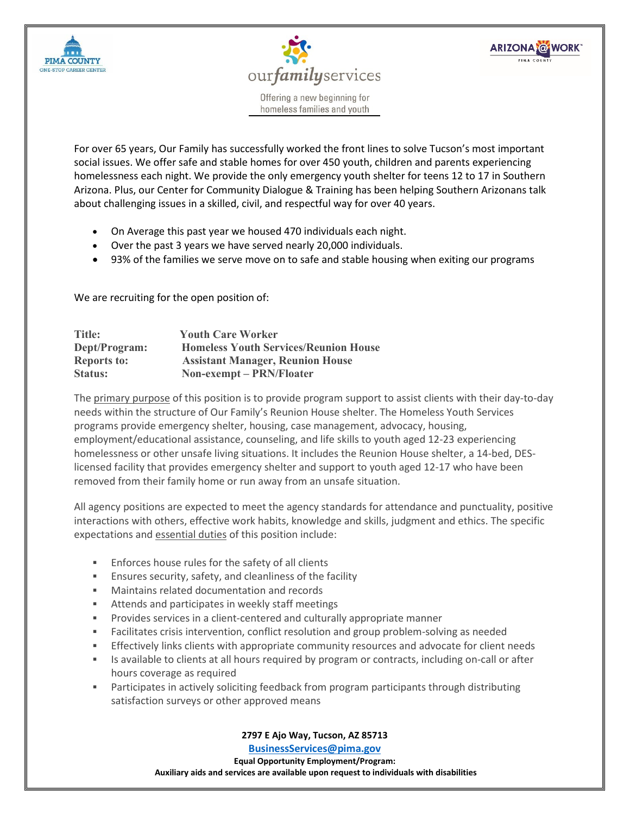



**ARIZONA @WORK** 

Offering a new beginning for homeless families and youth

For over 65 years, Our Family has successfully worked the front lines to solve Tucson's most important social issues. We offer safe and stable homes for over 450 youth, children and parents experiencing homelessness each night. We provide the only emergency youth shelter for teens 12 to 17 in Southern Arizona. Plus, our Center for Community Dialogue & Training has been helping Southern Arizonans talk about challenging issues in a skilled, civil, and respectful way for over 40 years.

- On Average this past year we housed 470 individuals each night.
- Over the past 3 years we have served nearly 20,000 individuals.
- 93% of the families we serve move on to safe and stable housing when exiting our programs

We are recruiting for the open position of:

| <b>Title:</b>      | <b>Youth Care Worker</b>                     |
|--------------------|----------------------------------------------|
| Dept/Program:      | <b>Homeless Youth Services/Reunion House</b> |
| <b>Reports to:</b> | <b>Assistant Manager, Reunion House</b>      |
| Status:            | Non-exempt – PRN/Floater                     |

The primary purpose of this position is to provide program support to assist clients with their day-to-day needs within the structure of Our Family's Reunion House shelter. The Homeless Youth Services programs provide emergency shelter, housing, case management, advocacy, housing, employment/educational assistance, counseling, and life skills to youth aged 12-23 experiencing homelessness or other unsafe living situations. It includes the Reunion House shelter, a 14-bed, DESlicensed facility that provides emergency shelter and support to youth aged 12-17 who have been removed from their family home or run away from an unsafe situation.

All agency positions are expected to meet the agency standards for attendance and punctuality, positive interactions with others, effective work habits, knowledge and skills, judgment and ethics. The specific expectations and essential duties of this position include:

- Enforces house rules for the safety of all clients
- Ensures security, safety, and cleanliness of the facility
- Maintains related documentation and records
- **EXECT** Attends and participates in weekly staff meetings
- Provides services in a client-centered and culturally appropriate manner
- Facilitates crisis intervention, conflict resolution and group problem-solving as needed
- Effectively links clients with appropriate community resources and advocate for client needs
- Is available to clients at all hours required by program or contracts, including on-call or after hours coverage as required
- Participates in actively soliciting feedback from program participants through distributing satisfaction surveys or other approved means

**2797 E Ajo Way, Tucson, AZ 85713**

**[BusinessServices@pima.gov](mailto:BusinessServices@pima.gov) Equal Opportunity Employment/Program: Auxiliary aids and services are available upon request to individuals with disabilities**